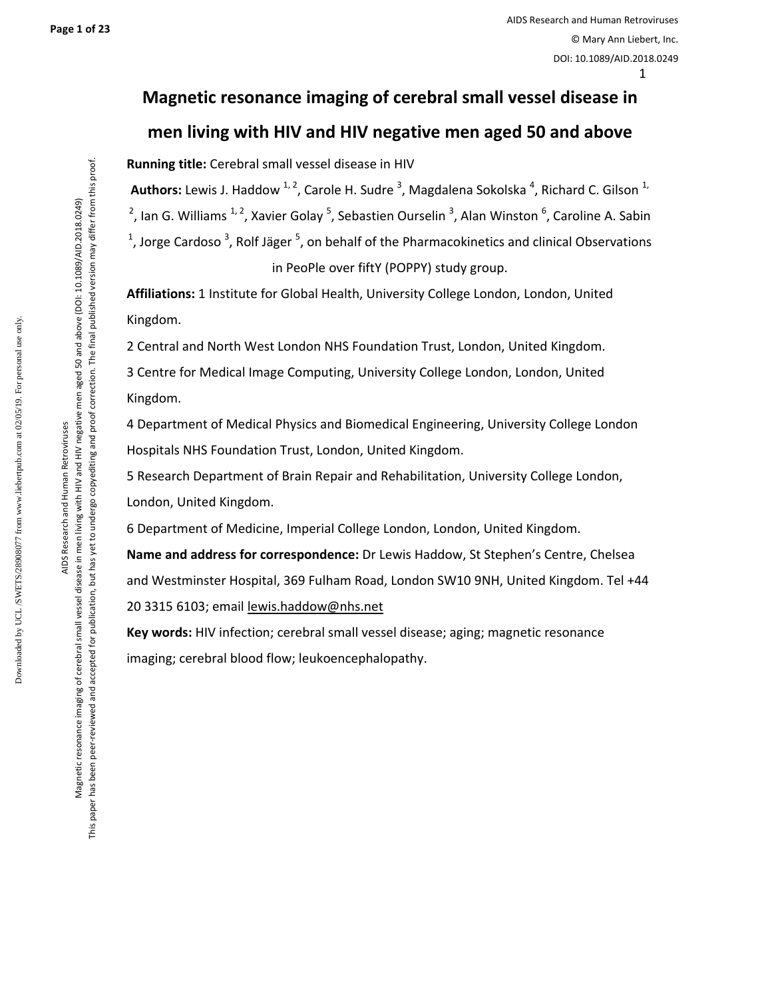**Page 1 of 23** 

# **Magnetic resonance imaging of cerebral small vessel disease in men living with HIV and HIV negative men aged 50 and above**

**Running title:** Cerebral small vessel disease in HIV

Authors: Lewis J. Haddow <sup>1, 2</sup>, Carole H. Sudre <sup>3</sup>, Magdalena Sokolska <sup>4</sup>, Richard C. Gilson <sup>1,</sup> <sup>2</sup>, Ian G. Williams <sup>1, 2</sup>, Xavier Golay <sup>5</sup>, Sebastien Ourselin <sup>3</sup>, Alan Winston <sup>6</sup>, Caroline A. Sabin <sup>1</sup>, Jorge Cardoso<sup>3</sup>, Rolf Jäger <sup>5</sup>, on behalf of the Pharmacokinetics and clinical Observations in PeoPle over fiftY (POPPY) study group.

**Affiliations:** 1 Institute for Global Health, University College London, London, United Kingdom.

2 Central and North West London NHS Foundation Trust, London, United Kingdom.

3 Centre for Medical Image Computing, University College London, London, United Kingdom.

4 Department of Medical Physics and Biomedical Engineering, University College London Hospitals NHS Foundation Trust, London, United Kingdom.

5 Research Department of Brain Repair and Rehabilitation, University College London, London, United Kingdom.

6 Department of Medicine, Imperial College London, London, United Kingdom.

**Name and address for correspondence:** Dr Lewis Haddow, St Stephen's Centre, Chelsea and Westminster Hospital, 369 Fulham Road, London SW10 9NH, United Kingdom. Tel +44 20 3315 6103; email lewis.haddow@nhs.net

**Key words:** HIV infection; cerebral small vessel disease; aging; magnetic resonance imaging; cerebral blood flow; leukoencephalopathy.

Downloaded by UCL /SWETS/28908077 from www.liebertpub.com at 02/05/19. For personal use only.

Downloaded by UCL/SWETS/28908077 from www.liebertpub.com at 02/05/19. For personal use only

Magnetic resonance imaging of cerebral small vessel disease in men living with HIV and HIV negative men aged 50 and above (DOI: 10.1089/AID.2018.0249) This paper has been peer-reviewed and accepted for publication, but has yet to undergo copyediting and proof correction. The final published version may differ from this proof.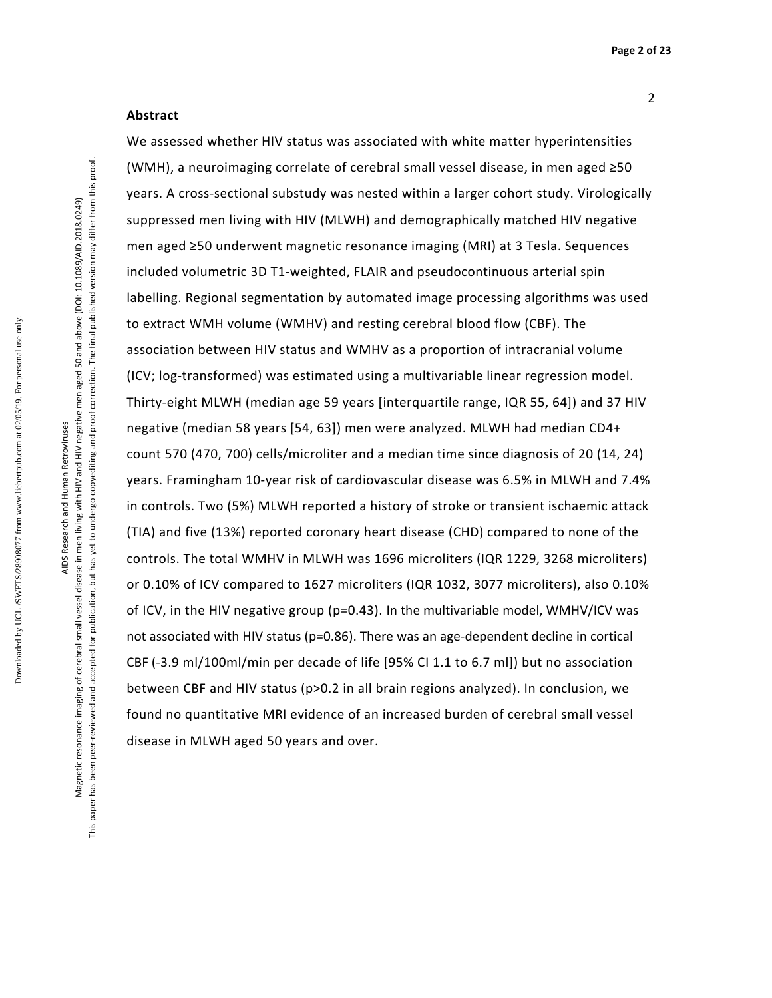#### **Abstract**

We assessed whether HIV status was associated with white matter hyperintensities (WMH), a neuroimaging correlate of cerebral small vessel disease, in men aged ≥50 years. A cross-sectional substudy was nested within a larger cohort study. Virologically suppressed men living with HIV (MLWH) and demographically matched HIV negative men aged ≥50 underwent magnetic resonance imaging (MRI) at 3 Tesla. Sequences included volumetric 3D T1-weighted, FLAIR and pseudocontinuous arterial spin labelling. Regional segmentation by automated image processing algorithms was used to extract WMH volume (WMHV) and resting cerebral blood flow (CBF). The association between HIV status and WMHV as a proportion of intracranial volume (ICV; log-transformed) was estimated using a multivariable linear regression model. Thirty-eight MLWH (median age 59 years [interquartile range, IQR 55, 64]) and 37 HIV negative (median 58 years [54, 63]) men were analyzed. MLWH had median CD4+ count 570 (470, 700) cells/microliter and a median time since diagnosis of 20 (14, 24) years. Framingham 10-year risk of cardiovascular disease was 6.5% in MLWH and 7.4% in controls. Two (5%) MLWH reported a history of stroke or transient ischaemic attack (TIA) and five (13%) reported coronary heart disease (CHD) compared to none of the controls. The total WMHV in MLWH was 1696 microliters (IQR 1229, 3268 microliters) or 0.10% of ICV compared to 1627 microliters (IQR 1032, 3077 microliters), also 0.10% of ICV, in the HIV negative group (p=0.43). In the multivariable model, WMHV/ICV was not associated with HIV status (p=0.86). There was an age-dependent decline in cortical CBF (-3.9 ml/100ml/min per decade of life [95% CI 1.1 to 6.7 ml]) but no association between CBF and HIV status (p>0.2 in all brain regions analyzed). In conclusion, we found no quantitative MRI evidence of an increased burden of cerebral small vessel disease in MLWH aged 50 years and over.

Downloaded by UCL /SWETS/28908077 from www.liebertpub.com at 02/05/19. For personal use only.

Downloaded by UCL/SWETS/28908077 from www.liebertpub.com at 02/05/19. For personal use only

Magnetic resonance imaging of cerebral small vessel disease in men living with HIV and HIV negative men aged 50 and above (DOI: 10.1089/AID.2018.0249) This paper has been peer-reviewed and accepted for publication, but has yet to undergo copyediting and proof correction. The final published version may differ from this proof.

This paper has been peer-reviewed and accepted for publication, but has yet to undergo copyediting and proof correction. The final published version may differ from this proof Magnetic resonance imaging of cerebral small vessel disease in men living with HIV and HIV negative men aged 50 and above (DOI: 10.1089/AID.2018.0249)

2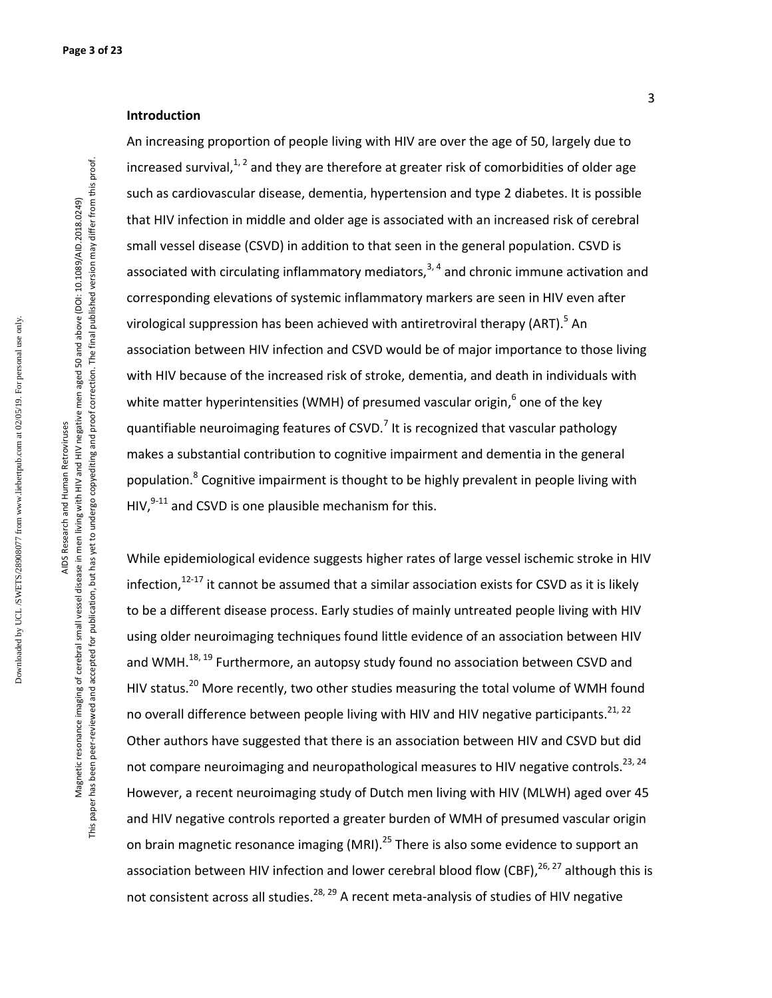#### **Introduction**

An increasing proportion of people living with HIV are over the age of 50, largely due to increased survival, $1/2$  and they are therefore at greater risk of comorbidities of older age such as cardiovascular disease, dementia, hypertension and type 2 diabetes. It is possible that HIV infection in middle and older age is associated with an increased risk of cerebral small vessel disease (CSVD) in addition to that seen in the general population. CSVD is associated with circulating inflammatory mediators,  $3, 4$  and chronic immune activation and corresponding elevations of systemic inflammatory markers are seen in HIV even after virological suppression has been achieved with antiretroviral therapy (ART).<sup>5</sup> An association between HIV infection and CSVD would be of major importance to those living with HIV because of the increased risk of stroke, dementia, and death in individuals with white matter hyperintensities (WMH) of presumed vascular origin,<sup>6</sup> one of the key quantifiable neuroimaging features of CSVD.<sup>7</sup> It is recognized that vascular pathology makes a substantial contribution to cognitive impairment and dementia in the general population.<sup>8</sup> Cognitive impairment is thought to be highly prevalent in people living with HIV, $9-11$  and CSVD is one plausible mechanism for this.

While epidemiological evidence suggests higher rates of large vessel ischemic stroke in HIV infection, $12-17$  it cannot be assumed that a similar association exists for CSVD as it is likely to be a different disease process. Early studies of mainly untreated people living with HIV using older neuroimaging techniques found little evidence of an association between HIV and WMH.<sup>18, 19</sup> Furthermore, an autopsy study found no association between CSVD and HIV status.<sup>20</sup> More recently, two other studies measuring the total volume of WMH found no overall difference between people living with HIV and HIV negative participants.<sup>21, 22</sup> Other authors have suggested that there is an association between HIV and CSVD but did not compare neuroimaging and neuropathological measures to HIV negative controls.<sup>23, 24</sup> However, a recent neuroimaging study of Dutch men living with HIV (MLWH) aged over 45 and HIV negative controls reported a greater burden of WMH of presumed vascular origin on brain magnetic resonance imaging (MRI).<sup>25</sup> There is also some evidence to support an association between HIV infection and lower cerebral blood flow (CBF), $^{26, 27}$  although this is not consistent across all studies.<sup>28, 29</sup> A recent meta-analysis of studies of HIV negative

AIDS Research and Human Retroviruses Magnetic resonance imaging of cerebral small vessel disease in men living with HIV and HIV negative men aged 50 and above (DOI: 10.1089/AID.2018.0249) This paper has been peer-reviewed and accepted for publication, but has yet to undergo copyediting and proof correction. The final published version may differ from this proof.

AIDS Research and Human Retroviruses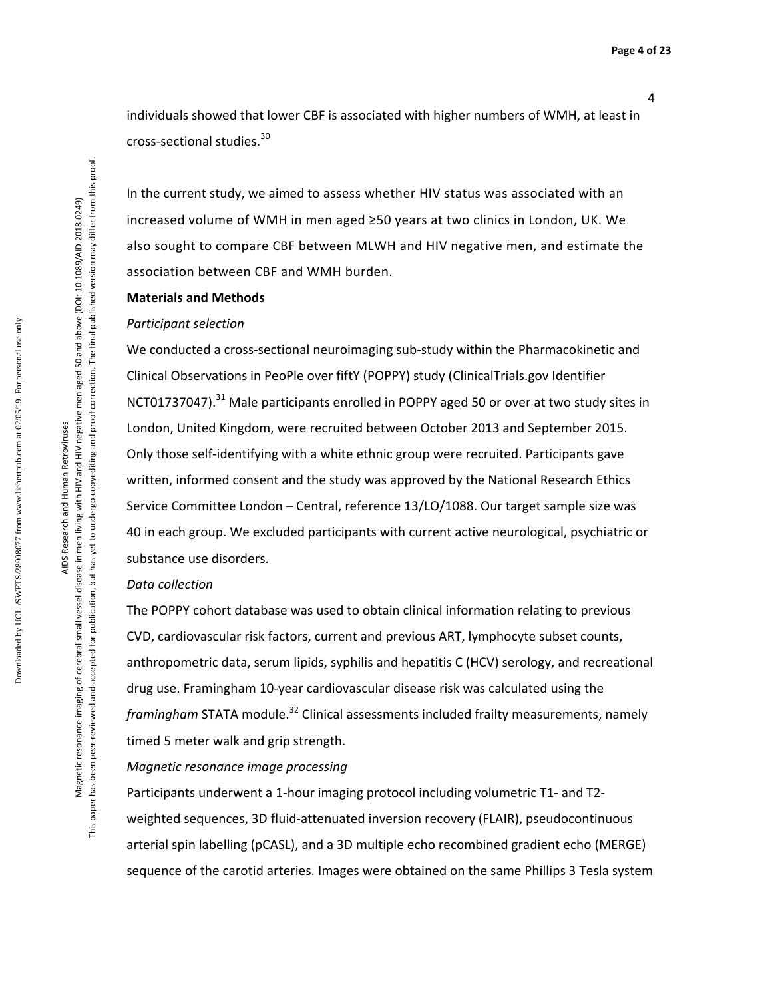individuals showed that lower CBF is associated with higher numbers of WMH, at least in cross-sectional studies.<sup>30</sup>

In the current study, we aimed to assess whether HIV status was associated with an increased volume of WMH in men aged ≥50 years at two clinics in London, UK. We also sought to compare CBF between MLWH and HIV negative men, and estimate the association between CBF and WMH burden.

#### **Materials and Methods**

#### *Participant selection*

We conducted a cross-sectional neuroimaging sub-study within the Pharmacokinetic and Clinical Observations in PeoPle over fiftY (POPPY) study (ClinicalTrials.gov Identifier NCT01737047).<sup>31</sup> Male participants enrolled in POPPY aged 50 or over at two study sites in London, United Kingdom, were recruited between October 2013 and September 2015. Only those self-identifying with a white ethnic group were recruited. Participants gave written, informed consent and the study was approved by the National Research Ethics Service Committee London – Central, reference 13/LO/1088. Our target sample size was 40 in each group. We excluded participants with current active neurological, psychiatric or substance use disorders.

#### *Data collection*

The POPPY cohort database was used to obtain clinical information relating to previous CVD, cardiovascular risk factors, current and previous ART, lymphocyte subset counts, anthropometric data, serum lipids, syphilis and hepatitis C (HCV) serology, and recreational drug use. Framingham 10-year cardiovascular disease risk was calculated using the *framingham* STATA module.<sup>32</sup> Clinical assessments included frailty measurements, namely timed 5 meter walk and grip strength.

*Magnetic resonance image processing* 

Participants underwent a 1-hour imaging protocol including volumetric T1- and T2 weighted sequences, 3D fluid-attenuated inversion recovery (FLAIR), pseudocontinuous arterial spin labelling (pCASL), and a 3D multiple echo recombined gradient echo (MERGE) sequence of the carotid arteries. Images were obtained on the same Phillips 3 Tesla system

AIDS Research and Human Retroviruses Magnetic resonance imaging of cerebral small vessel disease in men living with HIV and HIV negative men aged 50 and above (DOI: 10.1089/AID.2018.0249) This paper has been peer-reviewed and accepted for publication, but has yet to undergo copyediting and proof correction. The final published version may differ from this proof.

AIDS Research and Human Retroviruses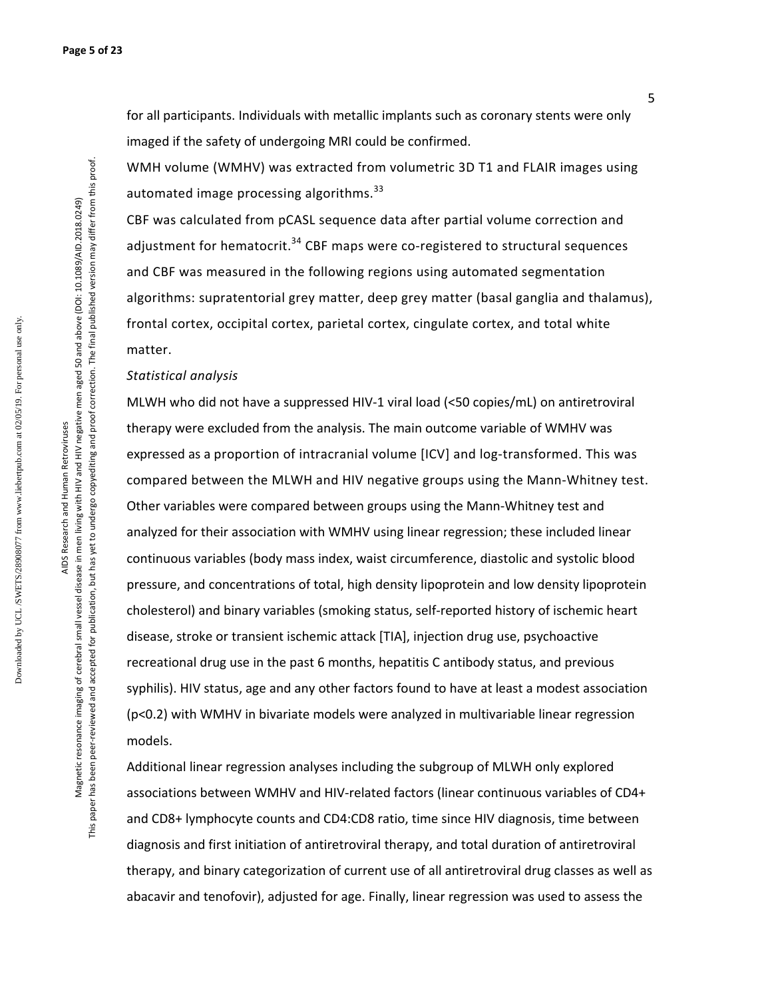for all participants. Individuals with metallic implants such as coronary stents were only imaged if the safety of undergoing MRI could be confirmed.

WMH volume (WMHV) was extracted from volumetric 3D T1 and FLAIR images using automated image processing algorithms.<sup>33</sup>

CBF was calculated from pCASL sequence data after partial volume correction and adjustment for hematocrit.<sup>34</sup> CBF maps were co-registered to structural sequences and CBF was measured in the following regions using automated segmentation algorithms: supratentorial grey matter, deep grey matter (basal ganglia and thalamus), frontal cortex, occipital cortex, parietal cortex, cingulate cortex, and total white matter.

#### *Statistical analysis*

MLWH who did not have a suppressed HIV-1 viral load (<50 copies/mL) on antiretroviral therapy were excluded from the analysis. The main outcome variable of WMHV was expressed as a proportion of intracranial volume [ICV] and log-transformed. This was compared between the MLWH and HIV negative groups using the Mann-Whitney test. Other variables were compared between groups using the Mann-Whitney test and analyzed for their association with WMHV using linear regression; these included linear continuous variables (body mass index, waist circumference, diastolic and systolic blood pressure, and concentrations of total, high density lipoprotein and low density lipoprotein cholesterol) and binary variables (smoking status, self-reported history of ischemic heart disease, stroke or transient ischemic attack [TIA], injection drug use, psychoactive recreational drug use in the past 6 months, hepatitis C antibody status, and previous syphilis). HIV status, age and any other factors found to have at least a modest association (p<0.2) with WMHV in bivariate models were analyzed in multivariable linear regression models.

Additional linear regression analyses including the subgroup of MLWH only explored associations between WMHV and HIV-related factors (linear continuous variables of CD4+ and CD8+ lymphocyte counts and CD4:CD8 ratio, time since HIV diagnosis, time between diagnosis and first initiation of antiretroviral therapy, and total duration of antiretroviral therapy, and binary categorization of current use of all antiretroviral drug classes as well as abacavir and tenofovir), adjusted for age. Finally, linear regression was used to assess the

Downloaded by UCL /SWETS/28908077 from www.liebertpub.com at 02/05/19. For personal use only.

Downloaded by UCL/SWETS/28908077 from www.liebertpub.com at 02/05/19. For personal use only

AIDS Research and Human Retroviruses Magnetic resonance imaging of cerebral small vessel disease in men living with HIV and HIV negative men aged 50 and above (DOI: 10.1089/AID.2018.0249) This paper has been peer-reviewed and accepted for publication, but has yet to undergo copyediting and proof correction. The final published version may differ from this proof.

AIDS Research and Human Retroviruses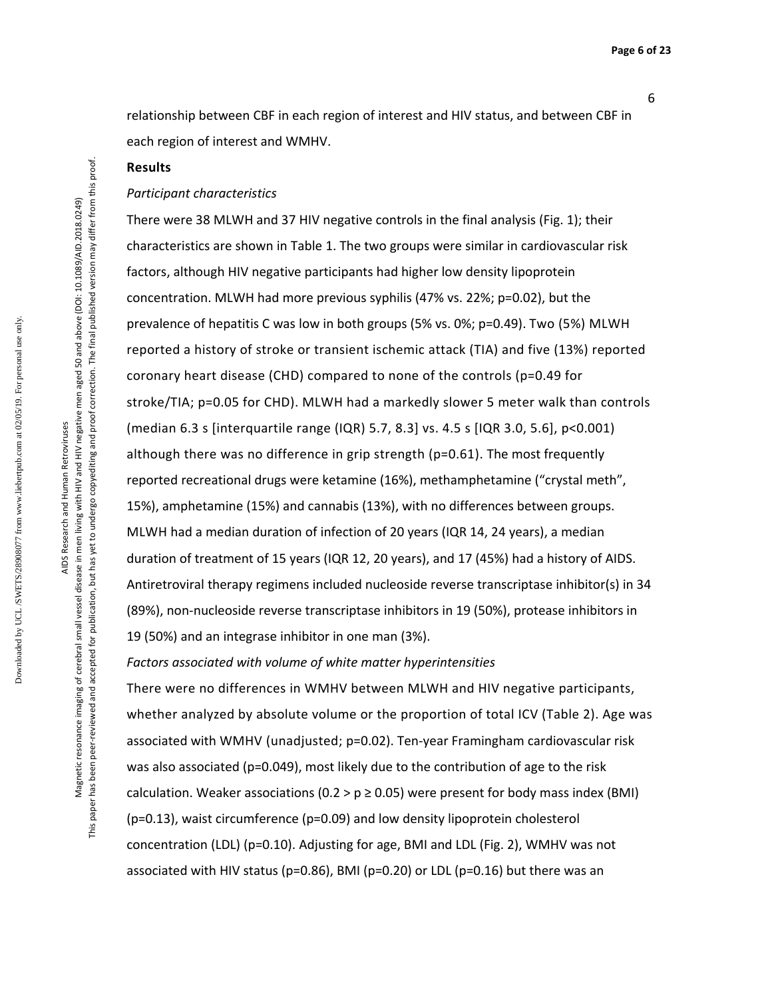relationship between CBF in each region of interest and HIV status, and between CBF in each region of interest and WMHV.

#### **Results**

#### *Participant characteristics*

There were 38 MLWH and 37 HIV negative controls in the final analysis (Fig. 1); their characteristics are shown in Table 1. The two groups were similar in cardiovascular risk factors, although HIV negative participants had higher low density lipoprotein concentration. MLWH had more previous syphilis (47% vs. 22%; p=0.02), but the prevalence of hepatitis C was low in both groups (5% vs. 0%; p=0.49). Two (5%) MLWH reported a history of stroke or transient ischemic attack (TIA) and five (13%) reported coronary heart disease (CHD) compared to none of the controls (p=0.49 for stroke/TIA; p=0.05 for CHD). MLWH had a markedly slower 5 meter walk than controls (median 6.3 s [interquartile range (IQR) 5.7, 8.3] vs. 4.5 s [IQR 3.0, 5.6], p<0.001) although there was no difference in grip strength (p=0.61). The most frequently reported recreational drugs were ketamine (16%), methamphetamine ("crystal meth", 15%), amphetamine (15%) and cannabis (13%), with no differences between groups. MLWH had a median duration of infection of 20 years (IQR 14, 24 years), a median duration of treatment of 15 years (IQR 12, 20 years), and 17 (45%) had a history of AIDS. Antiretroviral therapy regimens included nucleoside reverse transcriptase inhibitor(s) in 34 (89%), non-nucleoside reverse transcriptase inhibitors in 19 (50%), protease inhibitors in 19 (50%) and an integrase inhibitor in one man (3%).

*Factors associated with volume of white matter hyperintensities*

There were no differences in WMHV between MLWH and HIV negative participants, whether analyzed by absolute volume or the proportion of total ICV (Table 2). Age was associated with WMHV (unadjusted; p=0.02). Ten-year Framingham cardiovascular risk was also associated (p=0.049), most likely due to the contribution of age to the risk calculation. Weaker associations (0.2 >  $p \ge 0.05$ ) were present for body mass index (BMI) (p=0.13), waist circumference (p=0.09) and low density lipoprotein cholesterol concentration (LDL) (p=0.10). Adjusting for age, BMI and LDL (Fig. 2), WMHV was not associated with HIV status (p=0.86), BMI (p=0.20) or LDL (p=0.16) but there was an

AIDS Research and Human Retroviruses Magnetic resonance imaging of cerebral small vessel disease in men living with HIV and HIV negative men aged 50 and above (DOI: 10.1089/AID.2018.0249) This paper has been peer-reviewed and accepted for publication, but has yet to undergo copyediting and proof correction. The final published version may differ from this proof.

AIDS Research and Human Retroviruses

This paper has been peer-reviewed and accepted for publication, but has yet to undergo copyediting and proof correction. The final published version may differ from this proof Magnetic resonance imaging of cerebral small vessel disease in men living with HIV and HIV negative men aged 50 and above (DOI: 10.1089/AID.2018.0249)

6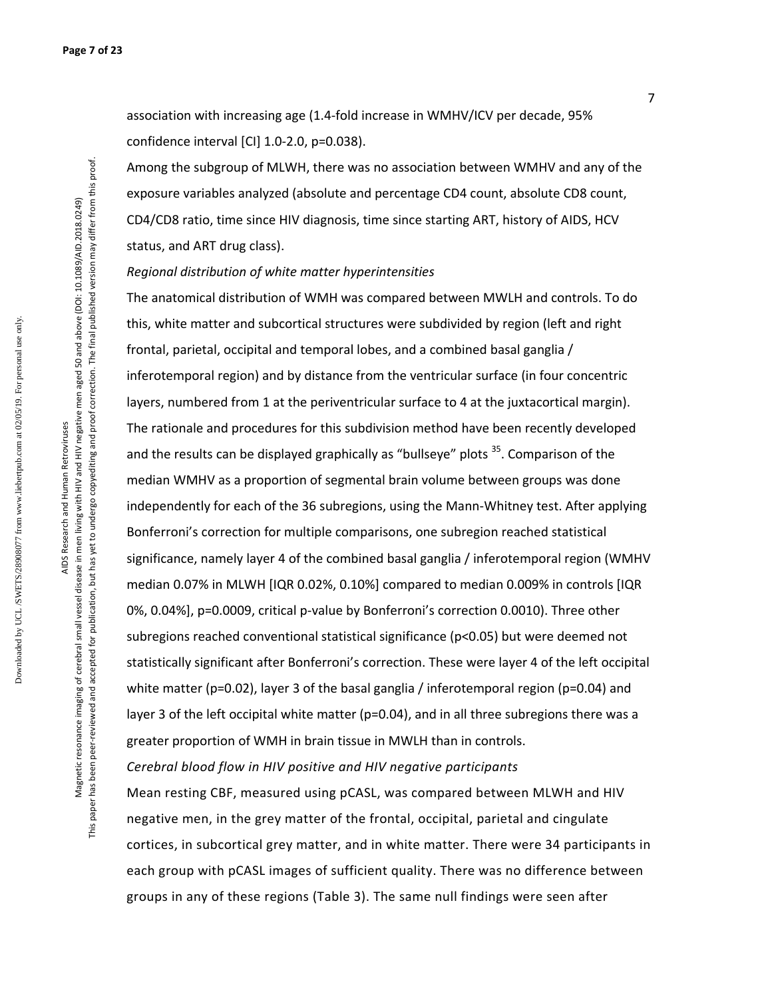association with increasing age (1.4-fold increase in WMHV/ICV per decade, 95% confidence interval [CI] 1.0-2.0, p=0.038).

Among the subgroup of MLWH, there was no association between WMHV and any of the exposure variables analyzed (absolute and percentage CD4 count, absolute CD8 count, CD4/CD8 ratio, time since HIV diagnosis, time since starting ART, history of AIDS, HCV status, and ART drug class).

*Regional distribution of white matter hyperintensities* 

The anatomical distribution of WMH was compared between MWLH and controls. To do this, white matter and subcortical structures were subdivided by region (left and right frontal, parietal, occipital and temporal lobes, and a combined basal ganglia / inferotemporal region) and by distance from the ventricular surface (in four concentric layers, numbered from 1 at the periventricular surface to 4 at the juxtacortical margin). The rationale and procedures for this subdivision method have been recently developed and the results can be displayed graphically as "bullseye" plots <sup>35</sup>. Comparison of the median WMHV as a proportion of segmental brain volume between groups was done independently for each of the 36 subregions, using the Mann-Whitney test. After applying Bonferroni's correction for multiple comparisons, one subregion reached statistical significance, namely layer 4 of the combined basal ganglia / inferotemporal region (WMHV median 0.07% in MLWH [IQR 0.02%, 0.10%] compared to median 0.009% in controls [IQR 0%, 0.04%], p=0.0009, critical p-value by Bonferroni's correction 0.0010). Three other subregions reached conventional statistical significance (p<0.05) but were deemed not statistically significant after Bonferroni's correction. These were layer 4 of the left occipital white matter (p=0.02), layer 3 of the basal ganglia / inferotemporal region (p=0.04) and layer 3 of the left occipital white matter ( $p=0.04$ ), and in all three subregions there was a greater proportion of WMH in brain tissue in MWLH than in controls. *Cerebral blood flow in HIV positive and HIV negative participants*

Mean resting CBF, measured using pCASL, was compared between MLWH and HIV negative men, in the grey matter of the frontal, occipital, parietal and cingulate cortices, in subcortical grey matter, and in white matter. There were 34 participants in each group with pCASL images of sufficient quality. There was no difference between groups in any of these regions (Table 3). The same null findings were seen after

Downloaded by UCL /SWETS/28908077 from www.liebertpub.com at 02/05/19. For personal use only.

Downloaded by UCL/SWETS/28908077 from www.liebertpub.com at 02/05/19. For personal use only

Magnetic resonance imaging of cerebral small vessel disease in men living with HIV and HIV negative men aged 50 and above (DOI: 10.1089/AID.2018.0249) Magnetic resonance imaging of cerebral small vessel disease in men living with HIV and HIV negative men aged 50 and above (DOI: 10.1089/AID.2018.0249) AIDS Research and Human Retroviruses AIDS Research and Human Retroviruses

This paper has been peer-reviewed and accepted for publication, but has yet to undergo copyediting and proof correction. The final published version may differ from this proof.

This paper has been peer-reviewed and accepted for publication, but has yet to undergo copyediting and proof correction. The final published version may differ from this proof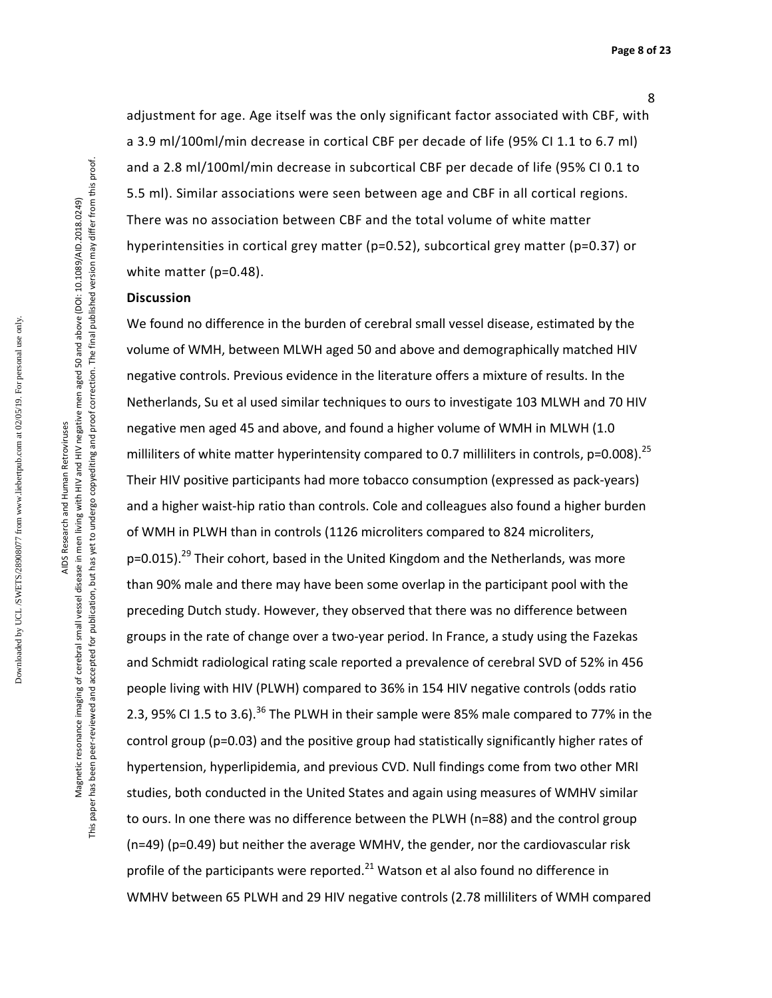adjustment for age. Age itself was the only significant factor associated with CBF, with a 3.9 ml/100ml/min decrease in cortical CBF per decade of life (95% CI 1.1 to 6.7 ml) and a 2.8 ml/100ml/min decrease in subcortical CBF per decade of life (95% CI 0.1 to 5.5 ml). Similar associations were seen between age and CBF in all cortical regions. There was no association between CBF and the total volume of white matter hyperintensities in cortical grey matter (p=0.52), subcortical grey matter (p=0.37) or white matter (p=0.48).

### **Discussion**

We found no difference in the burden of cerebral small vessel disease, estimated by the volume of WMH, between MLWH aged 50 and above and demographically matched HIV negative controls. Previous evidence in the literature offers a mixture of results. In the Netherlands, Su et al used similar techniques to ours to investigate 103 MLWH and 70 HIV negative men aged 45 and above, and found a higher volume of WMH in MLWH (1.0 milliliters of white matter hyperintensity compared to 0.7 milliliters in controls,  $p=0.008$ ).<sup>25</sup> Their HIV positive participants had more tobacco consumption (expressed as pack-years) and a higher waist-hip ratio than controls. Cole and colleagues also found a higher burden of WMH in PLWH than in controls (1126 microliters compared to 824 microliters, p=0.015).<sup>29</sup> Their cohort, based in the United Kingdom and the Netherlands, was more than 90% male and there may have been some overlap in the participant pool with the preceding Dutch study. However, they observed that there was no difference between groups in the rate of change over a two-year period. In France, a study using the Fazekas and Schmidt radiological rating scale reported a prevalence of cerebral SVD of 52% in 456 people living with HIV (PLWH) compared to 36% in 154 HIV negative controls (odds ratio 2.3, 95% CI 1.5 to 3.6).<sup>36</sup> The PLWH in their sample were 85% male compared to 77% in the control group (p=0.03) and the positive group had statistically significantly higher rates of hypertension, hyperlipidemia, and previous CVD. Null findings come from two other MRI studies, both conducted in the United States and again using measures of WMHV similar to ours. In one there was no difference between the PLWH (n=88) and the control group (n=49) (p=0.49) but neither the average WMHV, the gender, nor the cardiovascular risk profile of the participants were reported. $^{21}$  Watson et al also found no difference in WMHV between 65 PLWH and 29 HIV negative controls (2.78 milliliters of WMH compared

Downloaded by UCL /SWETS/28908077 from www.liebertpub.com at 02/05/19. For personal use only.

Downloaded by UCL/SWETS/28908077 from www.liebertpub.com at 02/05/19. For personal use only

Magnetic resonance imaging of cerebral small vessel disease in men living with HIV and HIV negative men aged 50 and above (DOI: 10.1089/AID.2018.0249) This paper has been peer-reviewed and accepted for publication, but has yet to undergo copyediting and proof correction. The final published version may differ from this proof.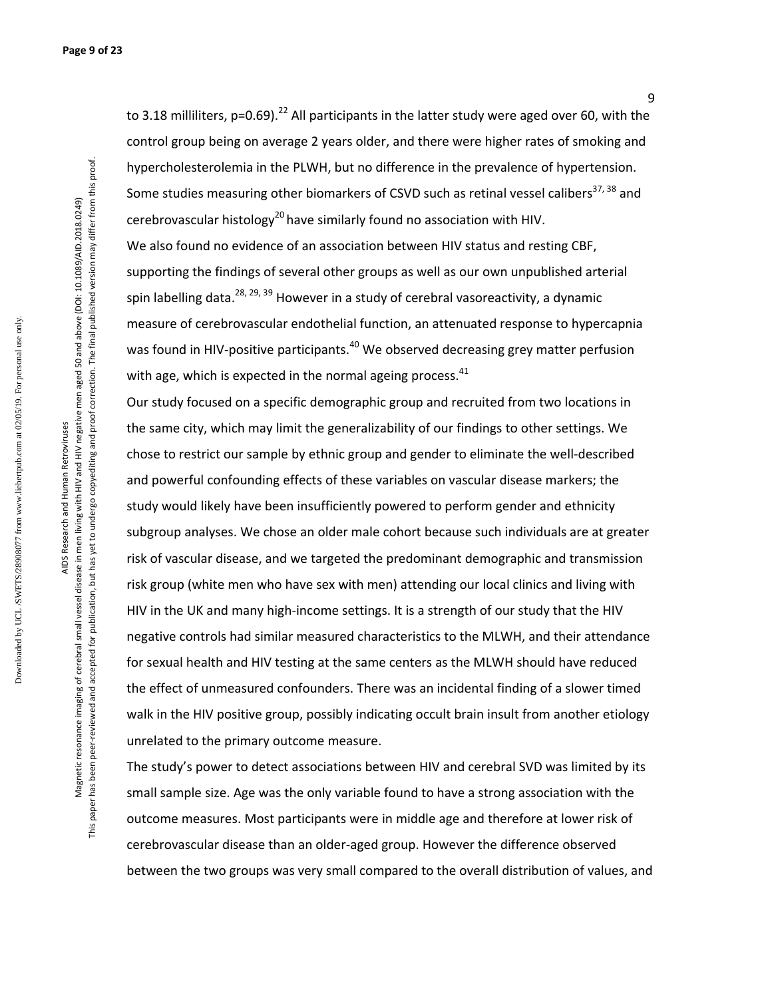to 3.18 milliliters,  $p=0.69$ ).<sup>22</sup> All participants in the latter study were aged over 60, with the control group being on average 2 years older, and there were higher rates of smoking and hypercholesterolemia in the PLWH, but no difference in the prevalence of hypertension. Some studies measuring other biomarkers of CSVD such as retinal vessel calibers<sup>37, 38</sup> and cerebrovascular histology<sup>20</sup> have similarly found no association with HIV. We also found no evidence of an association between HIV status and resting CBF, supporting the findings of several other groups as well as our own unpublished arterial spin labelling data.<sup>28, 29, 39</sup> However in a study of cerebral vasoreactivity, a dynamic measure of cerebrovascular endothelial function, an attenuated response to hypercapnia was found in HIV-positive participants.<sup>40</sup> We observed decreasing grey matter perfusion

with age, which is expected in the normal ageing process. $41$ 

Our study focused on a specific demographic group and recruited from two locations in the same city, which may limit the generalizability of our findings to other settings. We chose to restrict our sample by ethnic group and gender to eliminate the well-described and powerful confounding effects of these variables on vascular disease markers; the study would likely have been insufficiently powered to perform gender and ethnicity subgroup analyses. We chose an older male cohort because such individuals are at greater risk of vascular disease, and we targeted the predominant demographic and transmission risk group (white men who have sex with men) attending our local clinics and living with HIV in the UK and many high-income settings. It is a strength of our study that the HIV negative controls had similar measured characteristics to the MLWH, and their attendance for sexual health and HIV testing at the same centers as the MLWH should have reduced the effect of unmeasured confounders. There was an incidental finding of a slower timed walk in the HIV positive group, possibly indicating occult brain insult from another etiology unrelated to the primary outcome measure.

The study's power to detect associations between HIV and cerebral SVD was limited by its small sample size. Age was the only variable found to have a strong association with the outcome measures. Most participants were in middle age and therefore at lower risk of cerebrovascular disease than an older-aged group. However the difference observed between the two groups was very small compared to the overall distribution of values, and

Downloaded by UCL /SWETS/28908077 from www.liebertpub.com at 02/05/19. For personal use only.

Downloaded by UCL/SWETS/28908077 from www.liebertpub.com at 02/05/19. For personal use only

This paper has been peer-reviewed and accepted for publication, but has yet to undergo copyediting and proof correction. The final published version may differ from this proof.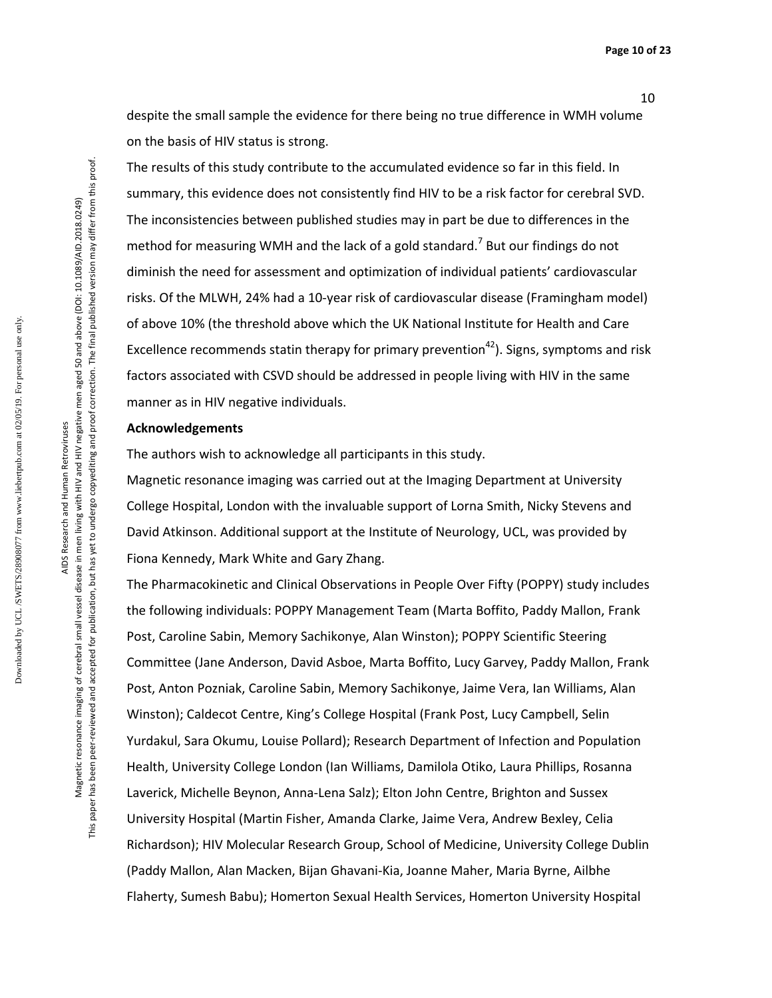despite the small sample the evidence for there being no true difference in WMH volume on the basis of HIV status is strong.

The results of this study contribute to the accumulated evidence so far in this field. In summary, this evidence does not consistently find HIV to be a risk factor for cerebral SVD. The inconsistencies between published studies may in part be due to differences in the method for measuring WMH and the lack of a gold standard.<sup>7</sup> But our findings do not diminish the need for assessment and optimization of individual patients' cardiovascular risks. Of the MLWH, 24% had a 10-year risk of cardiovascular disease (Framingham model) of above 10% (the threshold above which the UK National Institute for Health and Care Excellence recommends statin therapy for primary prevention<sup>42</sup>). Signs, symptoms and risk factors associated with CSVD should be addressed in people living with HIV in the same manner as in HIV negative individuals.

#### **Acknowledgements**

The authors wish to acknowledge all participants in this study.

Magnetic resonance imaging was carried out at the Imaging Department at University College Hospital, London with the invaluable support of Lorna Smith, Nicky Stevens and David Atkinson. Additional support at the Institute of Neurology, UCL, was provided by Fiona Kennedy, Mark White and Gary Zhang.

The Pharmacokinetic and Clinical Observations in People Over Fifty (POPPY) study includes the following individuals: POPPY Management Team (Marta Boffito, Paddy Mallon, Frank Post, Caroline Sabin, Memory Sachikonye, Alan Winston); POPPY Scientific Steering Committee (Jane Anderson, David Asboe, Marta Boffito, Lucy Garvey, Paddy Mallon, Frank Post, Anton Pozniak, Caroline Sabin, Memory Sachikonye, Jaime Vera, Ian Williams, Alan Winston); Caldecot Centre, King's College Hospital (Frank Post, Lucy Campbell, Selin Yurdakul, Sara Okumu, Louise Pollard); Research Department of Infection and Population Health, University College London (Ian Williams, Damilola Otiko, Laura Phillips, Rosanna Laverick, Michelle Beynon, Anna-Lena Salz); Elton John Centre, Brighton and Sussex University Hospital (Martin Fisher, Amanda Clarke, Jaime Vera, Andrew Bexley, Celia Richardson); HIV Molecular Research Group, School of Medicine, University College Dublin (Paddy Mallon, Alan Macken, Bijan Ghavani-Kia, Joanne Maher, Maria Byrne, Ailbhe Flaherty, Sumesh Babu); Homerton Sexual Health Services, Homerton University Hospital

Magnetic resonance imaging of cerebral small vessel disease in men living with HIV and HIV negative men aged 50 and above (DOI: 10.1089/AID.2018.0249) Magnetic resonance imaging of cerebral small vessel disease in men living with HIV and HIV negative men aged 50 and above (DOI: 10.1089/AID.2018.0249) AIDS Research and Human Retroviruses AIDS Research and Human Retroviruses

This paper has been peer-reviewed and accepted for publication, but has yet to undergo copyediting and proof correction. The final published version may differ from this proof.

This paper has been peer-reviewed and accepted for publication, but has yet to undergo copyediting and proof correction. The final published version may differ from this proof

10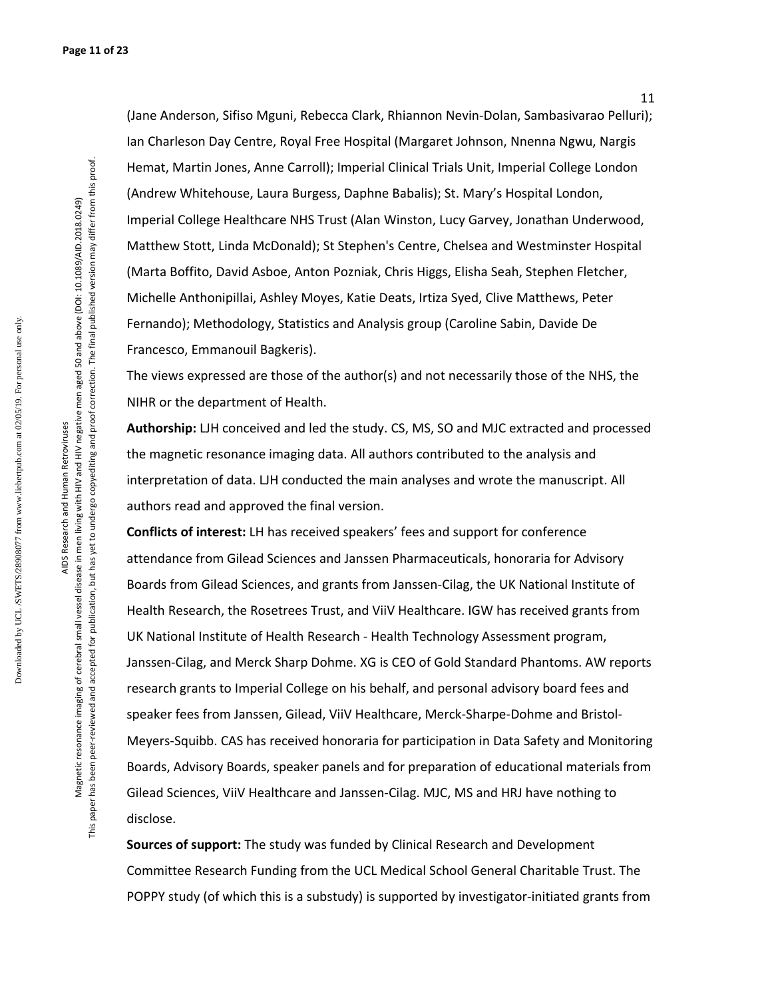Downloaded by UCL /SWETS/28908077 from www.liebertpub.com at 02/05/19. For personal use only. Downloaded by UCL/SWETS/28908077 from www.liebertpub.com at 02/05/19. For personal use only

AIDS Research and Human Retroviruses AIDS Research and Human Retroviruses

This paper has been peer-reviewed and accepted for publication, but has yet to undergo copyediting and proof correction. The final published version may differ from this proof. This paper has been peer-reviewed and accepted for publication, but has yet to undergo copyediting and proof correction. The final published version may differ from this proof Magnetic resonance imaging of cerebral small vessel disease in men living with HIV and HIV negative men aged 50 and above (DOI: 10.1089/AID.2018.0249) Magnetic resonance imaging of cerebral small vessel disease in men living with HIV and HIV negative men aged 50 and above (DOI: 10.1089/AID.2018.0249)

(Jane Anderson, Sifiso Mguni, Rebecca Clark, Rhiannon Nevin-Dolan, Sambasivarao Pelluri); Ian Charleson Day Centre, Royal Free Hospital (Margaret Johnson, Nnenna Ngwu, Nargis Hemat, Martin Jones, Anne Carroll); Imperial Clinical Trials Unit, Imperial College London (Andrew Whitehouse, Laura Burgess, Daphne Babalis); St. Mary's Hospital London, Imperial College Healthcare NHS Trust (Alan Winston, Lucy Garvey, Jonathan Underwood, Matthew Stott, Linda McDonald); St Stephen's Centre, Chelsea and Westminster Hospital (Marta Boffito, David Asboe, Anton Pozniak, Chris Higgs, Elisha Seah, Stephen Fletcher, Michelle Anthonipillai, Ashley Moyes, Katie Deats, Irtiza Syed, Clive Matthews, Peter Fernando); Methodology, Statistics and Analysis group (Caroline Sabin, Davide De Francesco, Emmanouil Bagkeris).

The views expressed are those of the author(s) and not necessarily those of the NHS, the NIHR or the department of Health.

**Authorship:** LJH conceived and led the study. CS, MS, SO and MJC extracted and processed the magnetic resonance imaging data. All authors contributed to the analysis and interpretation of data. LJH conducted the main analyses and wrote the manuscript. All authors read and approved the final version.

**Conflicts of interest:** LH has received speakers' fees and support for conference attendance from Gilead Sciences and Janssen Pharmaceuticals, honoraria for Advisory Boards from Gilead Sciences, and grants from Janssen-Cilag, the UK National Institute of Health Research, the Rosetrees Trust, and ViiV Healthcare. IGW has received grants from UK National Institute of Health Research - Health Technology Assessment program, Janssen-Cilag, and Merck Sharp Dohme. XG is CEO of Gold Standard Phantoms. AW reports research grants to Imperial College on his behalf, and personal advisory board fees and speaker fees from Janssen, Gilead, ViiV Healthcare, Merck-Sharpe-Dohme and Bristol-Meyers-Squibb. CAS has received honoraria for participation in Data Safety and Monitoring Boards, Advisory Boards, speaker panels and for preparation of educational materials from Gilead Sciences, ViiV Healthcare and Janssen-Cilag. MJC, MS and HRJ have nothing to disclose.

**Sources of support:** The study was funded by Clinical Research and Development Committee Research Funding from the UCL Medical School General Charitable Trust. The POPPY study (of which this is a substudy) is supported by investigator-initiated grants from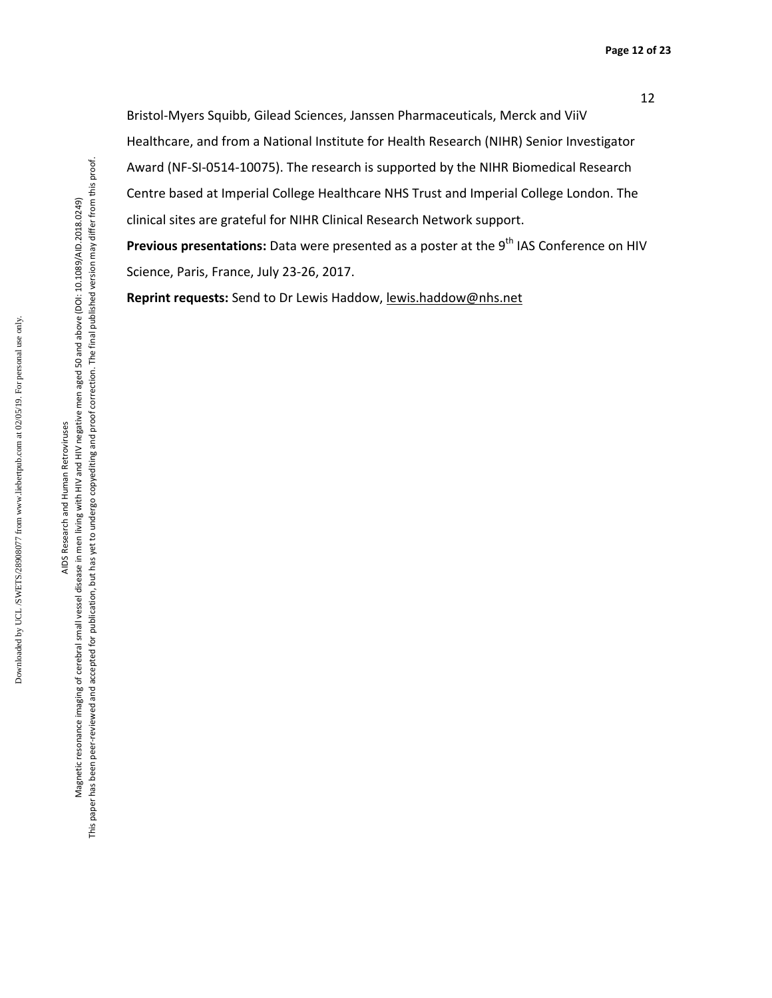Bristol-Myers Squibb, Gilead Sciences, Janssen Pharmaceuticals, Merck and ViiV Healthcare, and from a National Institute for Health Research (NIHR) Senior Investigator Award (NF-SI-0514-10075). The research is supported by the NIHR Biomedical Research Centre based at Imperial College Healthcare NHS Trust and Imperial College London. The clinical sites are grateful for NIHR Clinical Research Network support.

Previous presentations: Data were presented as a poster at the 9<sup>th</sup> IAS Conference on HIV Science, Paris, France, July 23-26, 2017.

**Reprint requests:** Send to Dr Lewis Haddow, lewis.haddow@nhs.net

Downloaded by UCL /SWETS/28908077 from www.liebertpub.com at 02/05/19. For personal use only.

Downloaded by UCL/SWETS/28908077 from www.liebertpub.com at 02/05/19. For personal use only,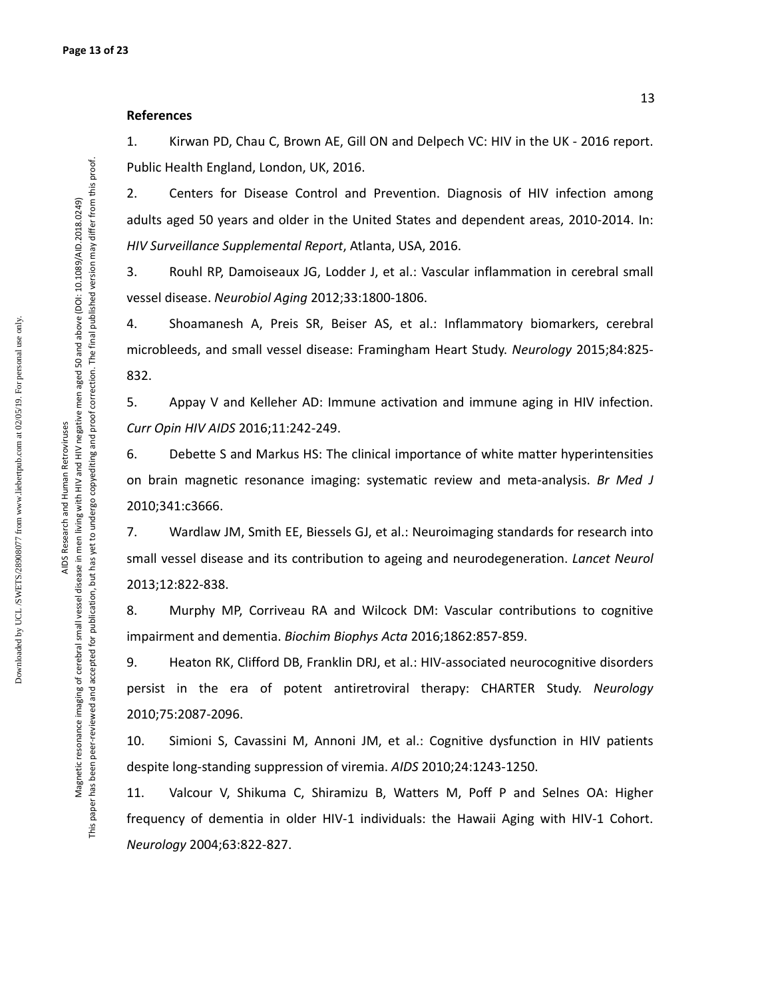#### **References**

1. Kirwan PD, Chau C, Brown AE, Gill ON and Delpech VC: HIV in the UK - 2016 report. Public Health England, London, UK, 2016.

2. Centers for Disease Control and Prevention. Diagnosis of HIV infection among adults aged 50 years and older in the United States and dependent areas, 2010-2014. In: *HIV Surveillance Supplemental Report*, Atlanta, USA, 2016.

3. Rouhl RP, Damoiseaux JG, Lodder J, et al.: Vascular inflammation in cerebral small vessel disease. *Neurobiol Aging* 2012;33:1800-1806.

4. Shoamanesh A, Preis SR, Beiser AS, et al.: Inflammatory biomarkers, cerebral microbleeds, and small vessel disease: Framingham Heart Study. *Neurology* 2015;84:825- 832.

5. Appay V and Kelleher AD: Immune activation and immune aging in HIV infection. *Curr Opin HIV AIDS* 2016;11:242-249.

6. Debette S and Markus HS: The clinical importance of white matter hyperintensities on brain magnetic resonance imaging: systematic review and meta-analysis. *Br Med J*  2010;341:c3666.

7. Wardlaw JM, Smith EE, Biessels GJ, et al.: Neuroimaging standards for research into small vessel disease and its contribution to ageing and neurodegeneration. *Lancet Neurol*  2013;12:822-838.

8. Murphy MP, Corriveau RA and Wilcock DM: Vascular contributions to cognitive impairment and dementia. *Biochim Biophys Acta* 2016;1862:857-859.

9. Heaton RK, Clifford DB, Franklin DRJ, et al.: HIV-associated neurocognitive disorders persist in the era of potent antiretroviral therapy: CHARTER Study. *Neurology*  2010;75:2087-2096.

10. Simioni S, Cavassini M, Annoni JM, et al.: Cognitive dysfunction in HIV patients despite long-standing suppression of viremia. *AIDS* 2010;24:1243-1250.

11. Valcour V, Shikuma C, Shiramizu B, Watters M, Poff P and Selnes OA: Higher frequency of dementia in older HIV-1 individuals: the Hawaii Aging with HIV-1 Cohort. *Neurology* 2004;63:822-827.

Magnetic resonance imaging of cerebral small vessel disease in men living with HIV and HIV negative men aged 50 and above (DOI: 10.1089/AID.2018.0249) This paper has been peer-reviewed and accepted for publication, but has yet to undergo copyediting and proof correction. The final published version may differ from this proof.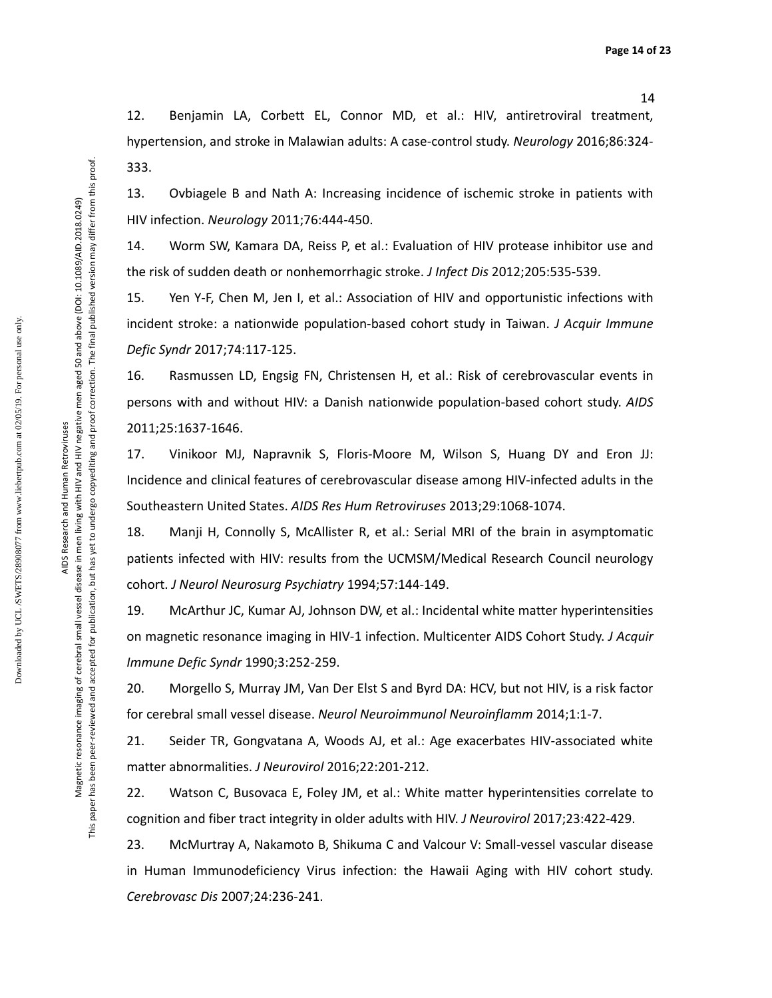12. Benjamin LA, Corbett EL, Connor MD, et al.: HIV, antiretroviral treatment, hypertension, and stroke in Malawian adults: A case-control study. *Neurology* 2016;86:324- 333.

13. Ovbiagele B and Nath A: Increasing incidence of ischemic stroke in patients with HIV infection. *Neurology* 2011;76:444-450.

14. Worm SW, Kamara DA, Reiss P, et al.: Evaluation of HIV protease inhibitor use and the risk of sudden death or nonhemorrhagic stroke. *J Infect Dis* 2012;205:535-539.

15. Yen Y-F, Chen M, Jen I, et al.: Association of HIV and opportunistic infections with incident stroke: a nationwide population-based cohort study in Taiwan. *J Acquir Immune Defic Syndr* 2017;74:117-125.

16. Rasmussen LD, Engsig FN, Christensen H, et al.: Risk of cerebrovascular events in persons with and without HIV: a Danish nationwide population-based cohort study. *AIDS*  2011;25:1637-1646.

17. Vinikoor MJ, Napravnik S, Floris-Moore M, Wilson S, Huang DY and Eron JJ: Incidence and clinical features of cerebrovascular disease among HIV-infected adults in the Southeastern United States. *AIDS Res Hum Retroviruses* 2013;29:1068-1074.

18. Manji H, Connolly S, McAllister R, et al.: Serial MRI of the brain in asymptomatic patients infected with HIV: results from the UCMSM/Medical Research Council neurology cohort. *J Neurol Neurosurg Psychiatry* 1994;57:144-149.

19. McArthur JC, Kumar AJ, Johnson DW, et al.: Incidental white matter hyperintensities on magnetic resonance imaging in HIV-1 infection. Multicenter AIDS Cohort Study. *J Acquir Immune Defic Syndr* 1990;3:252-259.

20. Morgello S, Murray JM, Van Der Elst S and Byrd DA: HCV, but not HIV, is a risk factor for cerebral small vessel disease. *Neurol Neuroimmunol Neuroinflamm* 2014;1:1-7.

21. Seider TR, Gongvatana A, Woods AJ, et al.: Age exacerbates HIV-associated white matter abnormalities. *J Neurovirol* 2016;22:201-212.

22. Watson C, Busovaca E, Foley JM, et al.: White matter hyperintensities correlate to cognition and fiber tract integrity in older adults with HIV. *J Neurovirol* 2017;23:422-429.

23. McMurtray A, Nakamoto B, Shikuma C and Valcour V: Small-vessel vascular disease in Human Immunodeficiency Virus infection: the Hawaii Aging with HIV cohort study. *Cerebrovasc Dis* 2007;24:236-241.

Downloaded by UCL /SWETS/28908077 from www.liebertpub.com at 02/05/19. For personal use only.

Downloaded by UCL/SWETS/28908077 from www.liebertpub.com at 02/05/19. For personal use only

AIDS Research and Human Retroviruses AIDS Research and Human Retroviruses Magnetic resonance imaging of cerebral small vessel disease in men living with HIV and HIV negative men aged 50 and above (DOI: 10.1089/AID.2018.0249) This paper has been peer-reviewed and accepted for publication, but has yet to undergo copyediting and proof correction. The final published version may differ from this proof.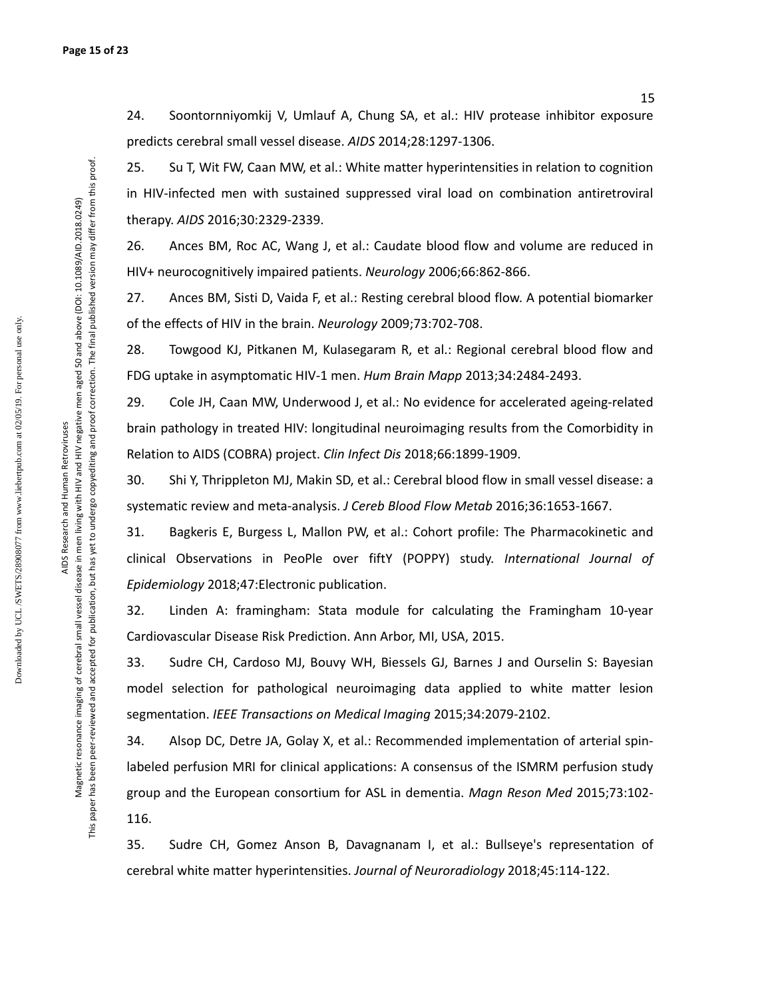24. Soontornniyomkij V, Umlauf A, Chung SA, et al.: HIV protease inhibitor exposure predicts cerebral small vessel disease. *AIDS* 2014;28:1297-1306.

25. Su T, Wit FW, Caan MW, et al.: White matter hyperintensities in relation to cognition in HIV-infected men with sustained suppressed viral load on combination antiretroviral therapy. *AIDS* 2016;30:2329-2339.

26. Ances BM, Roc AC, Wang J, et al.: Caudate blood flow and volume are reduced in HIV+ neurocognitively impaired patients. *Neurology* 2006;66:862-866.

27. Ances BM, Sisti D, Vaida F, et al.: Resting cerebral blood flow. A potential biomarker of the effects of HIV in the brain. *Neurology* 2009;73:702-708.

28. Towgood KJ, Pitkanen M, Kulasegaram R, et al.: Regional cerebral blood flow and FDG uptake in asymptomatic HIV-1 men. *Hum Brain Mapp* 2013;34:2484-2493.

29. Cole JH, Caan MW, Underwood J, et al.: No evidence for accelerated ageing-related brain pathology in treated HIV: longitudinal neuroimaging results from the Comorbidity in Relation to AIDS (COBRA) project. *Clin Infect Dis* 2018;66:1899-1909.

30. Shi Y, Thrippleton MJ, Makin SD, et al.: Cerebral blood flow in small vessel disease: a systematic review and meta-analysis. *J Cereb Blood Flow Metab* 2016;36:1653-1667.

31. Bagkeris E, Burgess L, Mallon PW, et al.: Cohort profile: The Pharmacokinetic and clinical Observations in PeoPle over fiftY (POPPY) study. *International Journal of Epidemiology* 2018;47:Electronic publication.

32. Linden A: framingham: Stata module for calculating the Framingham 10-year Cardiovascular Disease Risk Prediction. Ann Arbor, MI, USA, 2015.

33. Sudre CH, Cardoso MJ, Bouvy WH, Biessels GJ, Barnes J and Ourselin S: Bayesian model selection for pathological neuroimaging data applied to white matter lesion segmentation. *IEEE Transactions on Medical Imaging* 2015;34:2079-2102.

34. Alsop DC, Detre JA, Golay X, et al.: Recommended implementation of arterial spinlabeled perfusion MRI for clinical applications: A consensus of the ISMRM perfusion study group and the European consortium for ASL in dementia. *Magn Reson Med* 2015;73:102- 116.

35. Sudre CH, Gomez Anson B, Davagnanam I, et al.: Bullseye's representation of cerebral white matter hyperintensities. *Journal of Neuroradiology* 2018;45:114-122.

Downloaded by UCL /SWETS/28908077 from www.liebertpub.com at 02/05/19. For personal use only.

Downloaded by UCL/SWETS/28908077 from www.liebertpub.com at 02/05/19. For personal use only

Magnetic resonance imaging of cerebral small vessel disease in men living with HIV and HIV negative men aged 50 and above (DOI: 10.1089/AID.2018.0249) This paper has been peer-reviewed and accepted for publication, but has yet to undergo copyediting and proof correction. The final published version may differ from this proof.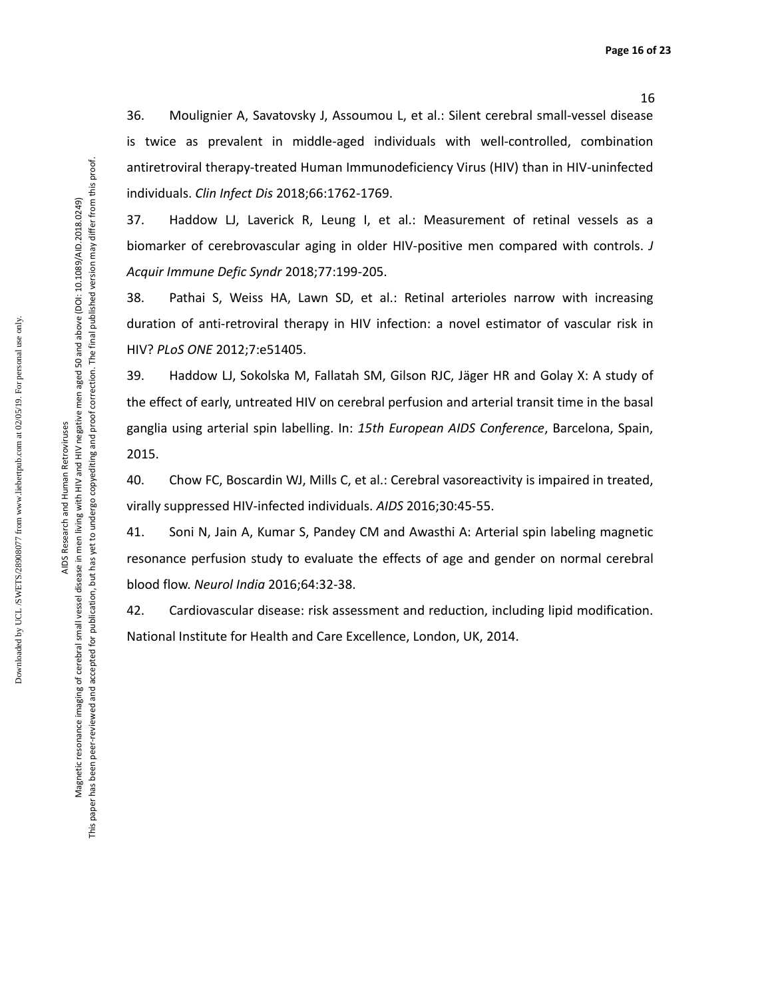36. Moulignier A, Savatovsky J, Assoumou L, et al.: Silent cerebral small-vessel disease is twice as prevalent in middle-aged individuals with well-controlled, combination antiretroviral therapy-treated Human Immunodeficiency Virus (HIV) than in HIV-uninfected individuals. *Clin Infect Dis* 2018;66:1762-1769.

37. Haddow LJ, Laverick R, Leung I, et al.: Measurement of retinal vessels as a biomarker of cerebrovascular aging in older HIV-positive men compared with controls. *J Acquir Immune Defic Syndr* 2018;77:199-205.

38. Pathai S, Weiss HA, Lawn SD, et al.: Retinal arterioles narrow with increasing duration of anti-retroviral therapy in HIV infection: a novel estimator of vascular risk in HIV? *PLoS ONE* 2012;7:e51405.

39. Haddow LJ, Sokolska M, Fallatah SM, Gilson RJC, Jäger HR and Golay X: A study of the effect of early, untreated HIV on cerebral perfusion and arterial transit time in the basal ganglia using arterial spin labelling. In: *15th European AIDS Conference*, Barcelona, Spain, 2015.

40. Chow FC, Boscardin WJ, Mills C, et al.: Cerebral vasoreactivity is impaired in treated, virally suppressed HIV-infected individuals. *AIDS* 2016;30:45-55.

41. Soni N, Jain A, Kumar S, Pandey CM and Awasthi A: Arterial spin labeling magnetic resonance perfusion study to evaluate the effects of age and gender on normal cerebral blood flow. *Neurol India* 2016;64:32-38.

42. Cardiovascular disease: risk assessment and reduction, including lipid modification. National Institute for Health and Care Excellence, London, UK, 2014.

Downloaded by UCL /SWETS/28908077 from www.liebertpub.com at 02/05/19. For personal use only.

Downloaded by UCL/SWETS/28908077 from www.liebertpub.com at 02/05/19. For personal use only

AIDS Research and Human Retroviruses AIDS Research and Human Retroviruses Magnetic resonance imaging of cerebral small vessel disease in men living with HIV and HIV negative men aged 50 and above (DOI: 10.1089/AID.2018.0249) This paper has been peer-reviewed and accepted for publication, but has yet to undergo copyediting and proof correction. The final published version may differ from this proof.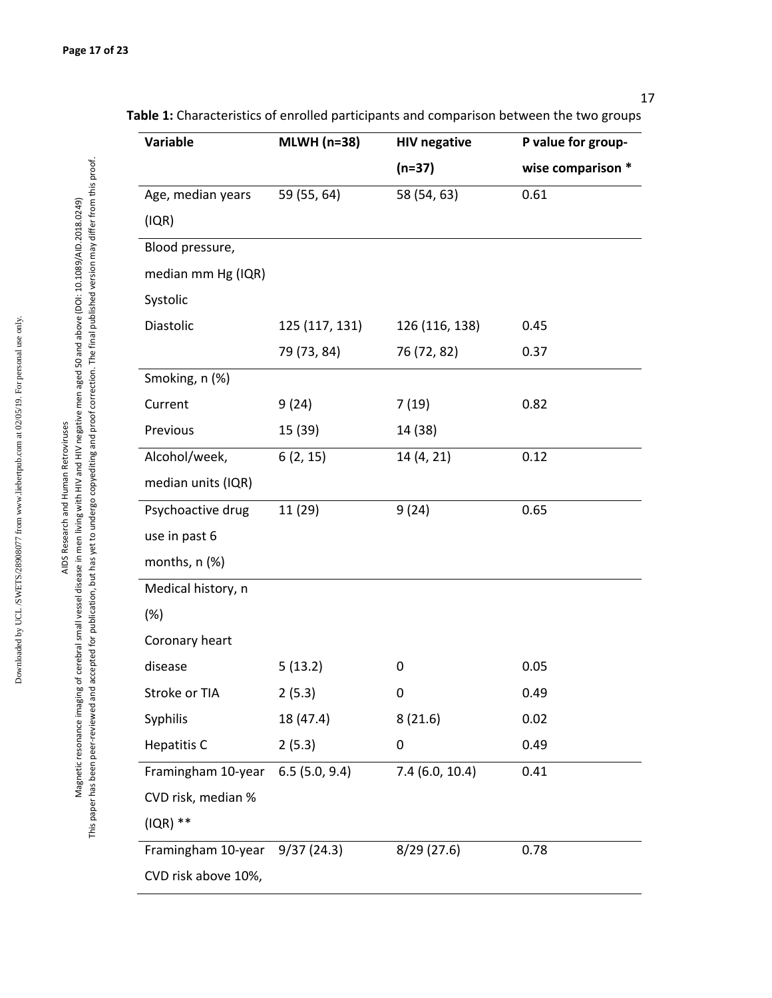| Variable           | <b>MLWH</b> (n=38) | <b>HIV negative</b> | P value for group- |  |
|--------------------|--------------------|---------------------|--------------------|--|
|                    |                    | $(n=37)$            | wise comparison *  |  |
| Age, median years  | 59 (55, 64)        | 58 (54, 63)         | 0.61               |  |
| (IQR)              |                    |                     |                    |  |
| Blood pressure,    |                    |                     |                    |  |
| median mm Hg (IQR) |                    |                     |                    |  |
| Systolic           |                    |                     |                    |  |
| Diastolic          | 125 (117, 131)     | 126 (116, 138)      | 0.45               |  |
|                    | 79 (73, 84)        | 76 (72, 82)         | 0.37               |  |
| Smoking, n (%)     |                    |                     |                    |  |
| Current            | 9(24)              | 7(19)               | 0.82               |  |
| Previous           | 15 (39)            | 14 (38)             |                    |  |
| Alcohol/week,      | 6(2, 15)           | 14 (4, 21)          | 0.12               |  |
| median units (IQR) |                    |                     |                    |  |
| Psychoactive drug  | 11 (29)            | 9(24)               | 0.65               |  |
| use in past 6      |                    |                     |                    |  |
| months, n (%)      |                    |                     |                    |  |
| Medical history, n |                    |                     |                    |  |
| (%)                |                    |                     |                    |  |
| Coronary heart     |                    |                     |                    |  |
| disease            | 5(13.2)            | 0                   | 0.05               |  |
| Stroke or TIA      | 2(5.3)             | 0                   | 0.49               |  |
| Syphilis           | 18 (47.4)          | 8(21.6)             | 0.02               |  |
| Hepatitis C        | 2(5.3)             | 0                   | 0.49               |  |
| Framingham 10-year | 6.5(5.0, 9.4)      | 7.4(6.0, 10.4)      | 0.41               |  |
| CVD risk, median % |                    |                     |                    |  |
| $(IQR)$ **         |                    |                     |                    |  |
| Framingham 10-year | 9/37(24.3)         | 8/29 (27.6)         | 0.78               |  |

**Table 1:** Characteristics of enrolled participants and comparison between the two groups

17

AIDS Research and Human Retroviruses Magnetic resonance imaging of cerebral small vessel disease in men living with HIV and HIV negative men aged 50 and above (DOI: 10.1089/AID.2018.0249) This paper has been peer-reviewed and accepted for publication, but has yet to undergo copyediting and proof correction. The final published version may differ from this proof.

AIDS Research and Human Retroviruses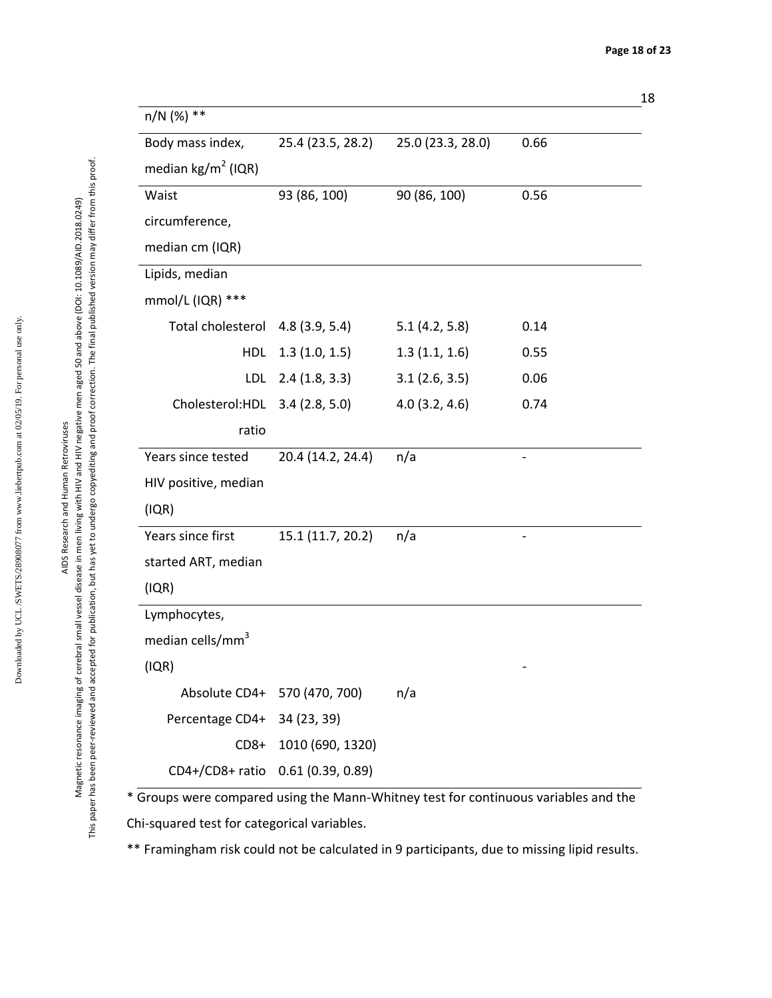| n/N (%) **                        |                              |                   |      |
|-----------------------------------|------------------------------|-------------------|------|
| Body mass index,                  | 25.4 (23.5, 28.2)            | 25.0 (23.3, 28.0) | 0.66 |
| median $\text{kg/m}^2$ (IQR)      |                              |                   |      |
| Waist                             | 93 (86, 100)                 | 90 (86, 100)      | 0.56 |
| circumference,                    |                              |                   |      |
| median cm (IQR)                   |                              |                   |      |
| Lipids, median                    |                              |                   |      |
| mmol/L (IQR) ***                  |                              |                   |      |
| Total cholesterol 4.8 (3.9, 5.4)  |                              | 5.1(4.2, 5.8)     | 0.14 |
| HDL                               | 1.3(1.0, 1.5)                | 1.3(1.1, 1.6)     | 0.55 |
| LDL                               | 2.4(1.8, 3.3)                | 3.1(2.6, 3.5)     | 0.06 |
| Cholesterol:HDL                   | 3.4(2.8, 5.0)                | 4.0(3.2, 4.6)     | 0.74 |
| ratio                             |                              |                   |      |
| Years since tested                | 20.4 (14.2, 24.4)            | n/a               |      |
| HIV positive, median              |                              |                   |      |
| (IQR)                             |                              |                   |      |
| Years since first                 | 15.1 (11.7, 20.2)            | n/a               |      |
| started ART, median               |                              |                   |      |
| (IQR)                             |                              |                   |      |
| Lymphocytes,                      |                              |                   |      |
| median cells/mm <sup>3</sup>      |                              |                   |      |
| (IQR)                             |                              |                   |      |
|                                   | Absolute CD4+ 570 (470, 700) | n/a               |      |
| Percentage CD4+ 34 (23, 39)       |                              |                   |      |
|                                   | CD8+ 1010 (690, 1320)        |                   |      |
| CD4+/CD8+ ratio 0.61 (0.39, 0.89) |                              |                   |      |

\* Groups were compared using the Mann-Whitney test for continuous variables and the

Chi-squared test for categorical variables.

\*\* Framingham risk could not be calculated in 9 participants, due to missing lipid results.

Magnetic resonance imaging of cerebral small vessel disease in men living with HIV and HIV negative men aged 50 and above (DOI: 10.1089/AID.2018.0249) This paper has been peer-reviewed and accepted for publication, but has yet to undergo copyediting and proof correction. The final published version may differ from this proof.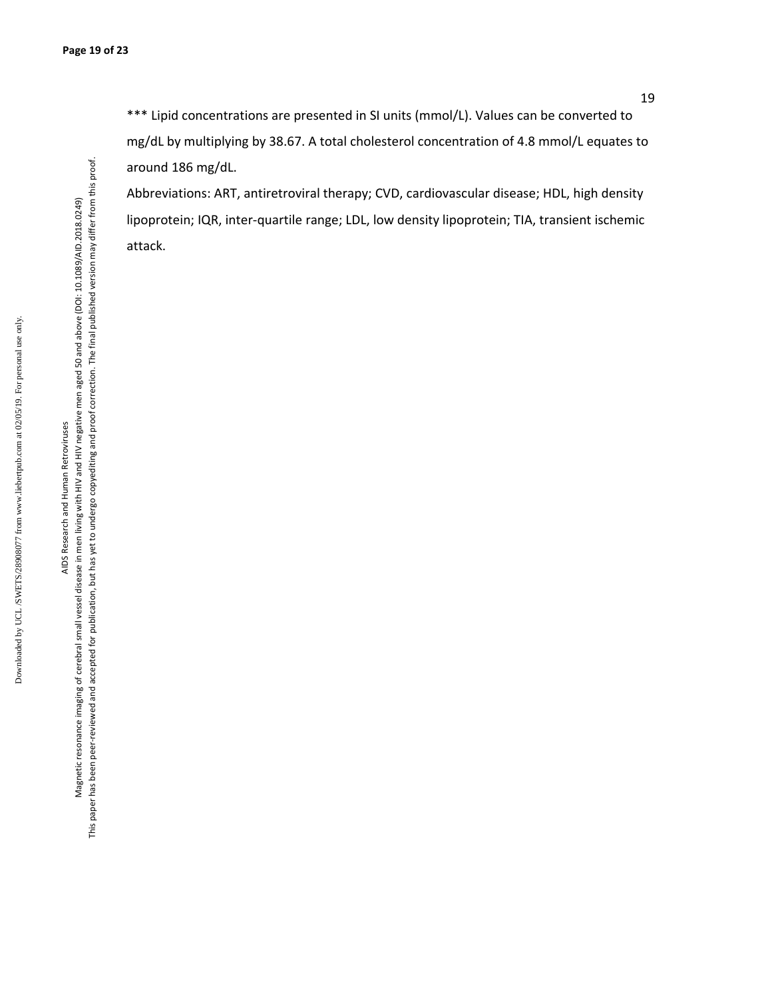Abbreviations: ART, antiretroviral therapy; CVD, cardiovascular disease; HDL, high density lipoprotein; IQR, inter-quartile range; LDL, low density lipoprotein; TIA, transient ischemic attack.

AIDS Research and Human Retroviruses AIDS Research and Human Retroviruses

Magnetic resonance imaging of cerebral small vessel disease in men living with HIV and HIV negative men aged 50 and above (DOI: 10.1089/AID.2018.0249) This paper has been peer-reviewed and accepted for publication, but has yet to undergo copyediting and proof correction. The final published version may differ from this proof.

This paper has been peer-reviewed and accepted for publication, but has yet to undergo copyediting and proof correction. The final published version may differ from this proof. Magnetic resonance imaging of cerebral small vessel disease in men living with HIV and HIV negative men aged 50 and above (DOI: 10.1089/AID.2018.0249)

Downloaded by UCL /SWETS/28908077 from www.liebertpub.com at 02/05/19. For personal use only. Downloaded by UCL/SWETS/28908077 from www.liebertpub.com at 02/05/19. For personal use only.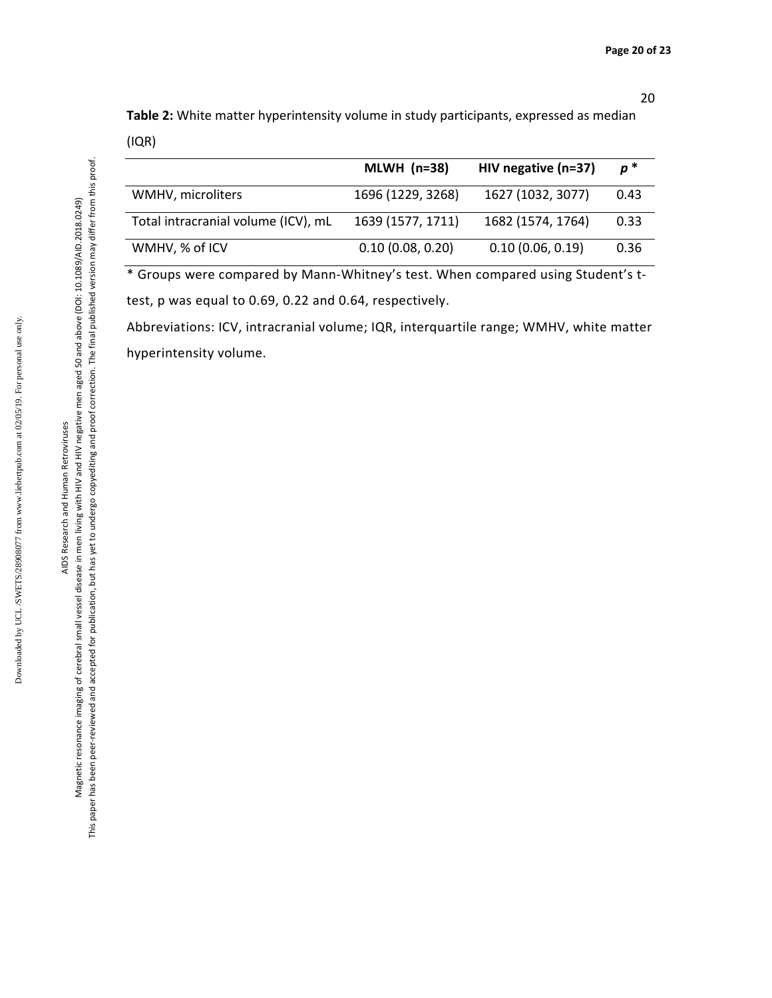**Table 2:** White matter hyperintensity volume in study participants, expressed as median (IQR)

|                                     | MLWH $(n=38)$     | HIV negative (n=37) | $p^*$ |
|-------------------------------------|-------------------|---------------------|-------|
| WMHV, microliters                   | 1696 (1229, 3268) | 1627 (1032, 3077)   | 0.43  |
| Total intracranial volume (ICV), mL | 1639 (1577, 1711) | 1682 (1574, 1764)   | 0.33  |
| WMHV, % of ICV                      | 0.10(0.08, 0.20)  | 0.10(0.06, 0.19)    | 0.36  |

\* Groups were compared by Mann-Whitney's test. When compared using Student's ttest, p was equal to 0.69, 0.22 and 0.64, respectively.

Abbreviations: ICV, intracranial volume; IQR, interquartile range; WMHV, white matter hyperintensity volume.

Magnetic resonance imaging of cerebral small vessel disease in men living with HIV and HIV negative men aged 50 and above (DOI: 10.1089/AID.2018.0249) This paper has been peer-reviewed and accepted for publication, but has yet to undergo copyediting and proof correction. The final published version may differ from this proof.

This paper has been peer-reviewed and accepted for publication, but has yet to undergo copyediting and proof correction. The final published version may differ from this proof. Magnetic resonance imaging of cerebral small vessel disease in men living with HIV and HIV negative men aged 50 and above (DOI: 10.1089/AID.2018.0249)

Downloaded by UCL /SWETS/28908077 from www.liebertpub.com at 02/05/19. For personal use only.

Downloaded by UCL/SWETS/28908077 from www.liebertpub.com at 02/05/19. For personal use only.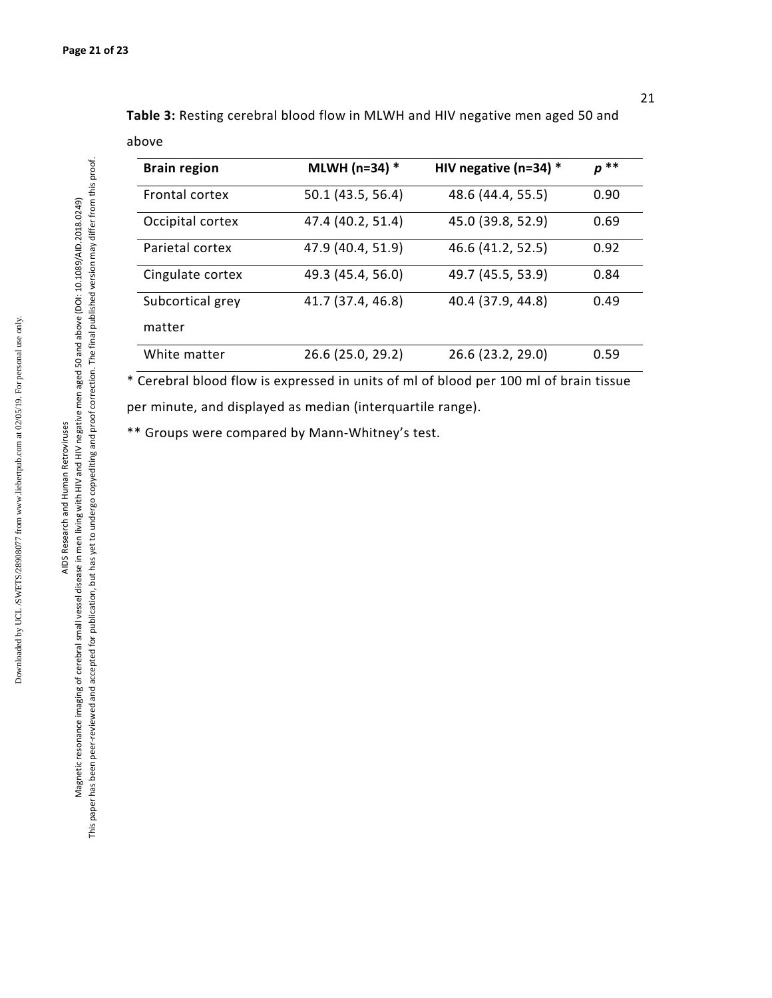above

| <b>Brain region</b> | MLWH (n=34) *     | HIV negative ( $n=34$ ) * | p ** |
|---------------------|-------------------|---------------------------|------|
| Frontal cortex      | 50.1 (43.5, 56.4) | 48.6 (44.4, 55.5)         | 0.90 |
| Occipital cortex    | 47.4 (40.2, 51.4) | 45.0 (39.8, 52.9)         | 0.69 |
| Parietal cortex     | 47.9 (40.4, 51.9) | 46.6 (41.2, 52.5)         | 0.92 |
| Cingulate cortex    | 49.3 (45.4, 56.0) | 49.7 (45.5, 53.9)         | 0.84 |
| Subcortical grey    | 41.7 (37.4, 46.8) | 40.4 (37.9, 44.8)         | 0.49 |
| matter              |                   |                           |      |
| White matter        | 26.6 (25.0, 29.2) | 26.6 (23.2, 29.0)         | 0.59 |

**Table 3:** Resting cerebral blood flow in MLWH and HIV negative men aged 50 and

\* Cerebral blood flow is expressed in units of ml of blood per 100 ml of brain tissue per minute, and displayed as median (interquartile range).

\*\* Groups were compared by Mann-Whitney's test.

Downloaded by UCL /SWETS/28908077 from www.liebertpub.com at 02/05/19. For personal use only.

Downloaded by UCL/SWETS/28908077 from www.liebertpub.com at 02/05/19. For personal use only.

This paper has been peer-reviewed and accepted for publication, but has yet to undergo copyediting and proof correction. The final published version may differ from this proof.

This paper has been peer-reviewed and accepted for publication, but has yet to undergo copyediting and proof correction. The final published version may differ from this proof.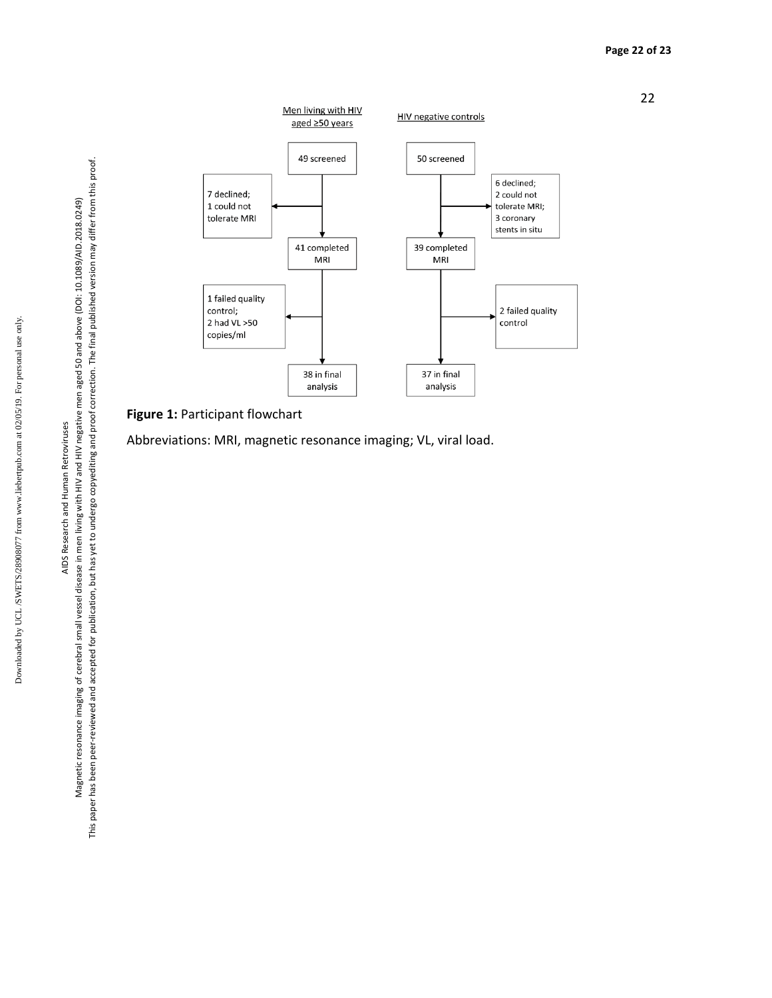AIDS Research and Human Retroviruses AIDS Research and Human Retroviruses





## **Figure 1:** Participant flowchart

Abbreviations: MRI, magnetic resonance imaging; VL, viral load.